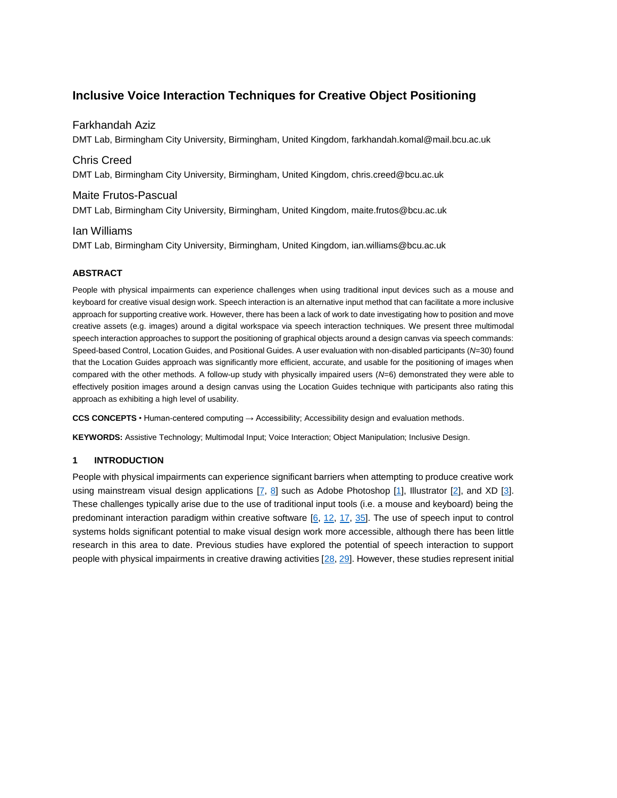# **Inclusive Voice Interaction Techniques for Creative Object Positioning**

# Farkhandah Aziz

DMT Lab, Birmingham City University, Birmingham, United Kingdom, farkhandah.komal@mail.bcu.ac.uk

# Chris Creed

DMT Lab, Birmingham City University, Birmingham, United Kingdom, chris.creed@bcu.ac.uk

# Maite Frutos-Pascual

DMT Lab, Birmingham City University, Birmingham, United Kingdom, maite.frutos@bcu.ac.uk

# Ian Williams

DMT Lab, Birmingham City University, Birmingham, United Kingdom, ian.williams@bcu.ac.uk

# **ABSTRACT**

People with physical impairments can experience challenges when using traditional input devices such as a mouse and keyboard for creative visual design work. Speech interaction is an alternative input method that can facilitate a more inclusive approach for supporting creative work. However, there has been a lack of work to date investigating how to position and move creative assets (e.g. images) around a digital workspace via speech interaction techniques. We present three multimodal speech interaction approaches to support the positioning of graphical objects around a design canvas via speech commands: Speed-based Control, Location Guides, and Positional Guides. A user evaluation with non-disabled participants (*N*=30) found that the Location Guides approach was significantly more efficient, accurate, and usable for the positioning of images when compared with the other methods. A follow-up study with physically impaired users (*N*=6) demonstrated they were able to effectively position images around a design canvas using the Location Guides technique with participants also rating this approach as exhibiting a high level of usability.

**CCS CONCEPTS** • Human-centered computing → Accessibility; Accessibility design and evaluation methods.

**KEYWORDS:** Assistive Technology; Multimodal Input; Voice Interaction; Object Manipulation; Inclusive Design.

# **1 INTRODUCTION**

People with physical impairments can experience significant barriers when attempting to produce creative work using mainstream visual design applications [\[7,](#page-12-0) [8\]](#page-12-1) such as Adobe Photoshop [\[1\]](#page-12-2), Illustrator [\[2\]](#page-12-3), and XD [\[3\]](#page-12-4). These challenges typically arise due to the use of traditional input tools (i.e. a mouse and keyboard) being the predominant interaction paradigm within creative software [\[6,](#page-12-5) [12,](#page-12-6) [17,](#page-12-7) [35\]](#page-13-0). The use of speech input to control systems holds significant potential to make visual design work more accessible, although there has been little research in this area to date. Previous studies have explored the potential of speech interaction to support people with physical impairments in creative drawing activities [\[28,](#page-13-1) [29\]](#page-13-2). However, these studies represent initial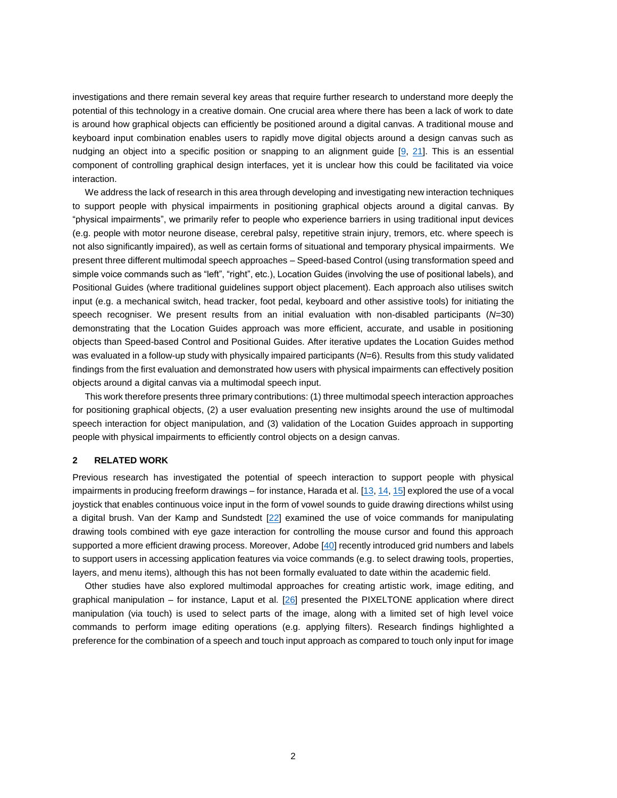investigations and there remain several key areas that require further research to understand more deeply the potential of this technology in a creative domain. One crucial area where there has been a lack of work to date is around how graphical objects can efficiently be positioned around a digital canvas. A traditional mouse and keyboard input combination enables users to rapidly move digital objects around a design canvas such as nudging an object into a specific position or snapping to an alignment guide [\[9,](#page-12-8) [21\]](#page-13-3). This is an essential component of controlling graphical design interfaces, yet it is unclear how this could be facilitated via voice interaction.

We address the lack of research in this area through developing and investigating new interaction techniques to support people with physical impairments in positioning graphical objects around a digital canvas. By "physical impairments", we primarily refer to people who experience barriers in using traditional input devices (e.g. people with motor neurone disease, cerebral palsy, repetitive strain injury, tremors, etc. where speech is not also significantly impaired), as well as certain forms of situational and temporary physical impairments. We present three different multimodal speech approaches – Speed-based Control (using transformation speed and simple voice commands such as "left", "right", etc.), Location Guides (involving the use of positional labels), and Positional Guides (where traditional guidelines support object placement). Each approach also utilises switch input (e.g. a mechanical switch, head tracker, foot pedal, keyboard and other assistive tools) for initiating the speech recogniser. We present results from an initial evaluation with non-disabled participants (*N*=30) demonstrating that the Location Guides approach was more efficient, accurate, and usable in positioning objects than Speed-based Control and Positional Guides. After iterative updates the Location Guides method was evaluated in a follow-up study with physically impaired participants (*N*=6). Results from this study validated findings from the first evaluation and demonstrated how users with physical impairments can effectively position objects around a digital canvas via a multimodal speech input.

This work therefore presents three primary contributions: (1) three multimodal speech interaction approaches for positioning graphical objects, (2) a user evaluation presenting new insights around the use of multimodal speech interaction for object manipulation, and (3) validation of the Location Guides approach in supporting people with physical impairments to efficiently control objects on a design canvas.

# **2 RELATED WORK**

Previous research has investigated the potential of speech interaction to support people with physical impairments in producing freeform drawings – for instance, Harada et al. [\[13,](#page-12-9) [14,](#page-12-10) [15\]](#page-12-11) explored the use of a vocal joystick that enables continuous voice input in the form of vowel sounds to guide drawing directions whilst using a digital brush. Van der Kamp and Sundstedt [\[22\]](#page-13-4) examined the use of voice commands for manipulating drawing tools combined with eye gaze interaction for controlling the mouse cursor and found this approach supported a more efficient drawing process. Moreover, Adobe [\[40\]](#page-13-5) recently introduced grid numbers and labels to support users in accessing application features via voice commands (e.g. to select drawing tools, properties, layers, and menu items), although this has not been formally evaluated to date within the academic field.

Other studies have also explored multimodal approaches for creating artistic work, image editing, and graphical manipulation – for instance, Laput et al.  $[26]$  presented the PIXELTONE application where direct manipulation (via touch) is used to select parts of the image, along with a limited set of high level voice commands to perform image editing operations (e.g. applying filters). Research findings highlighted a preference for the combination of a speech and touch input approach as compared to touch only input for image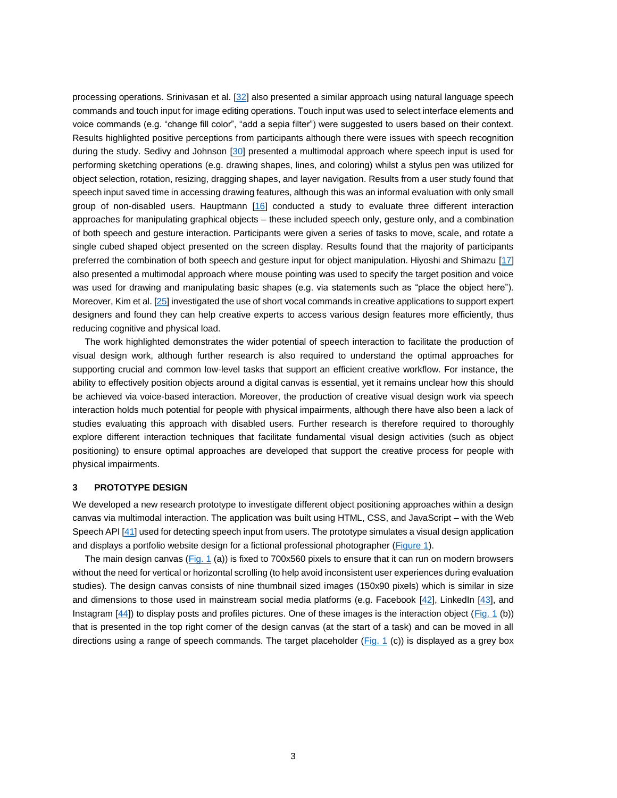processing operations. Srinivasan et al. [\[32\]](#page-13-7) also presented a similar approach using natural language speech commands and touch input for image editing operations. Touch input was used to select interface elements and voice commands (e.g. "change fill color", "add a sepia filter") were suggested to users based on their context. Results highlighted positive perceptions from participants although there were issues with speech recognition during the study. Sedivy and Johnson [\[30\]](#page-13-8) presented a multimodal approach where speech input is used for performing sketching operations (e.g. drawing shapes, lines, and coloring) whilst a stylus pen was utilized for object selection, rotation, resizing, dragging shapes, and layer navigation. Results from a user study found that speech input saved time in accessing drawing features, although this was an informal evaluation with only small group of non-disabled users. Hauptmann [\[16\]](#page-12-12) conducted a study to evaluate three different interaction approaches for manipulating graphical objects – these included speech only, gesture only, and a combination of both speech and gesture interaction. Participants were given a series of tasks to move, scale, and rotate a single cubed shaped object presented on the screen display. Results found that the majority of participants preferred the combination of both speech and gesture input for object manipulation. Hiyoshi and Shimazu [\[17\]](#page-12-7) also presented a multimodal approach where mouse pointing was used to specify the target position and voice was used for drawing and manipulating basic shapes (e.g. via statements such as "place the object here"). Moreover, Kim et al. [\[25\]](#page-13-9) investigated the use of short vocal commands in creative applications to support expert designers and found they can help creative experts to access various design features more efficiently, thus reducing cognitive and physical load.

The work highlighted demonstrates the wider potential of speech interaction to facilitate the production of visual design work, although further research is also required to understand the optimal approaches for supporting crucial and common low-level tasks that support an efficient creative workflow. For instance, the ability to effectively position objects around a digital canvas is essential, yet it remains unclear how this should be achieved via voice-based interaction. Moreover, the production of creative visual design work via speech interaction holds much potential for people with physical impairments, although there have also been a lack of studies evaluating this approach with disabled users. Further research is therefore required to thoroughly explore different interaction techniques that facilitate fundamental visual design activities (such as object positioning) to ensure optimal approaches are developed that support the creative process for people with physical impairments.

### **3 PROTOTYPE DESIGN**

We developed a new research prototype to investigate different object positioning approaches within a design canvas via multimodal interaction. The application was built using HTML, CSS, and JavaScript – with the Web Speech API [\[41\]](#page-13-10) used for detecting speech input from users. The prototype simulates a visual design application and displays a portfolio website design for a fictional professional photographer [\(Figure 1\)](#page-3-0).

The main design canvas [\(Fig. 1](#page-3-0) (a)) is fixed to 700x560 pixels to ensure that it can run on modern browsers without the need for vertical or horizontal scrolling (to help avoid inconsistent user experiences during evaluation studies). The design canvas consists of nine thumbnail sized images (150x90 pixels) which is similar in size and dimensions to those used in mainstream social media platforms (e.g. Facebook [\[42\]](#page-13-11), LinkedIn [\[43\]](#page-13-12), and Instagram [\[44\]](#page-13-13)) to display posts and profiles pictures. One of these images is the interaction object [\(Fig. 1](#page-3-0) (b)) that is presented in the top right corner of the design canvas (at the start of a task) and can be moved in all directions using a range of speech commands. The target placeholder [\(Fig. 1](#page-3-0) (c)) is displayed as a grey box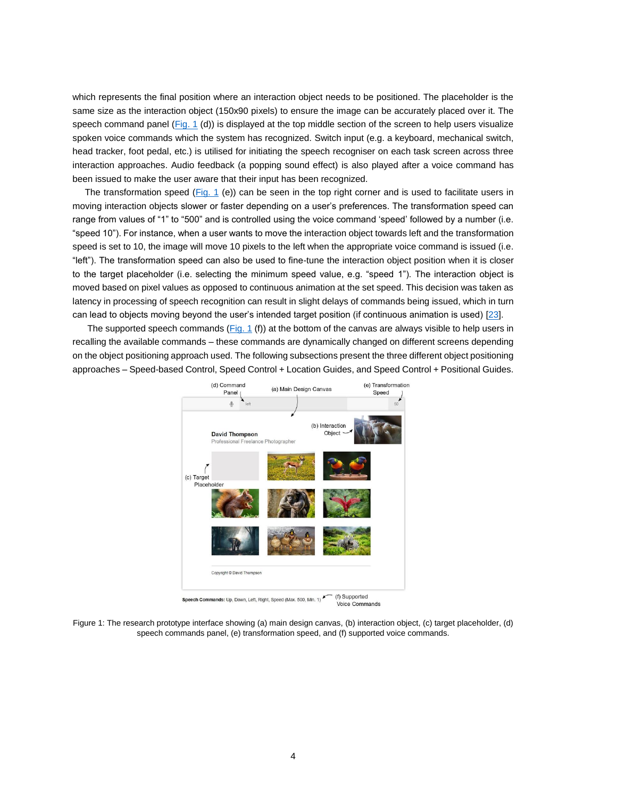which represents the final position where an interaction object needs to be positioned. The placeholder is the same size as the interaction object (150x90 pixels) to ensure the image can be accurately placed over it. The speech command panel [\(Fig. 1](#page-3-0) (d)) is displayed at the top middle section of the screen to help users visualize spoken voice commands which the system has recognized. Switch input (e.g. a keyboard, mechanical switch, head tracker, foot pedal, etc.) is utilised for initiating the speech recogniser on each task screen across three interaction approaches. Audio feedback (a popping sound effect) is also played after a voice command has been issued to make the user aware that their input has been recognized.

The transformation speed [\(Fig. 1](#page-3-0) (e)) can be seen in the top right corner and is used to facilitate users in moving interaction objects slower or faster depending on a user's preferences. The transformation speed can range from values of "1" to "500" and is controlled using the voice command 'speed' followed by a number (i.e. "speed 10"). For instance, when a user wants to move the interaction object towards left and the transformation speed is set to 10, the image will move 10 pixels to the left when the appropriate voice command is issued (i.e. "left"). The transformation speed can also be used to fine-tune the interaction object position when it is closer to the target placeholder (i.e. selecting the minimum speed value, e.g. "speed 1"). The interaction object is moved based on pixel values as opposed to continuous animation at the set speed. This decision was taken as latency in processing of speech recognition can result in slight delays of commands being issued, which in turn can lead to objects moving beyond the user's intended target position (if continuous animation is used) [\[23\]](#page-13-14).

The supported speech commands [\(Fig. 1](#page-3-0) (f)) at the bottom of the canvas are always visible to help users in recalling the available commands – these commands are dynamically changed on different screens depending on the object positioning approach used. The following subsections present the three different object positioning approaches – Speed-based Control, Speed Control + Location Guides, and Speed Control + Positional Guides.



<span id="page-3-0"></span>Figure 1: The research prototype interface showing (a) main design canvas, (b) interaction object, (c) target placeholder, (d) speech commands panel, (e) transformation speed, and (f) supported voice commands.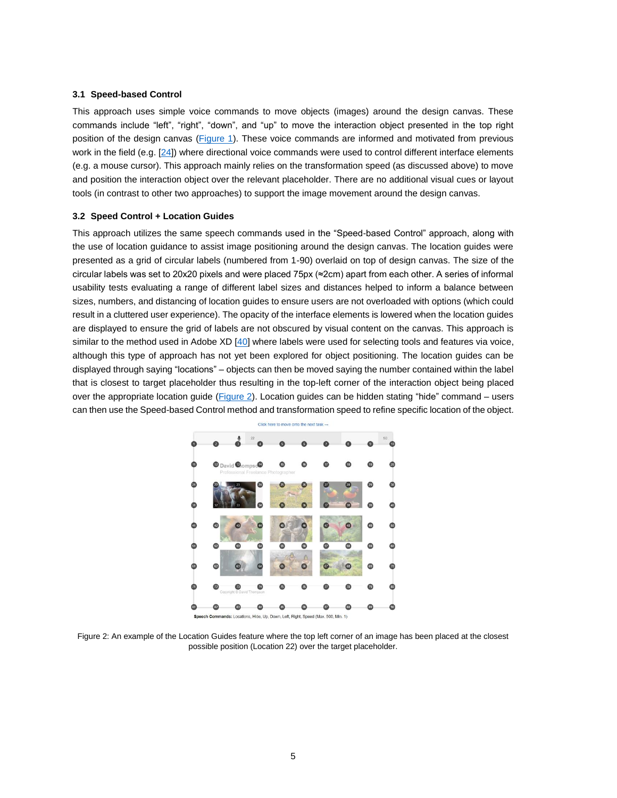#### **3.1 Speed-based Control**

This approach uses simple voice commands to move objects (images) around the design canvas. These commands include "left", "right", "down", and "up" to move the interaction object presented in the top right position of the design canvas [\(Figure 1\)](#page-3-0). These voice commands are informed and motivated from previous work in the field (e.g. [\[24\]](#page-13-15)) where directional voice commands were used to control different interface elements (e.g. a mouse cursor). This approach mainly relies on the transformation speed (as discussed above) to move and position the interaction object over the relevant placeholder. There are no additional visual cues or layout tools (in contrast to other two approaches) to support the image movement around the design canvas.

#### **3.2 Speed Control + Location Guides**

This approach utilizes the same speech commands used in the "Speed-based Control" approach, along with the use of location guidance to assist image positioning around the design canvas. The location guides were presented as a grid of circular labels (numbered from 1-90) overlaid on top of design canvas. The size of the circular labels was set to 20x20 pixels and were placed 75px (≈2cm) apart from each other. A series of informal usability tests evaluating a range of different label sizes and distances helped to inform a balance between sizes, numbers, and distancing of location guides to ensure users are not overloaded with options (which could result in a cluttered user experience). The opacity of the interface elements is lowered when the location guides are displayed to ensure the grid of labels are not obscured by visual content on the canvas. This approach is similar to the method used in Adobe XD [\[40\]](#page-13-5) where labels were used for selecting tools and features via voice, although this type of approach has not yet been explored for object positioning. The location guides can be displayed through saying "locations" – objects can then be moved saying the number contained within the label that is closest to target placeholder thus resulting in the top-left corner of the interaction object being placed over the appropriate location guide [\(Figure 2\)](#page-4-0). Location guides can be hidden stating "hide" command – users can then use the Speed-based Control method and transformation speed to refine specific location of the object.



<span id="page-4-0"></span>Figure 2: An example of the Location Guides feature where the top left corner of an image has been placed at the closest possible position (Location 22) over the target placeholder.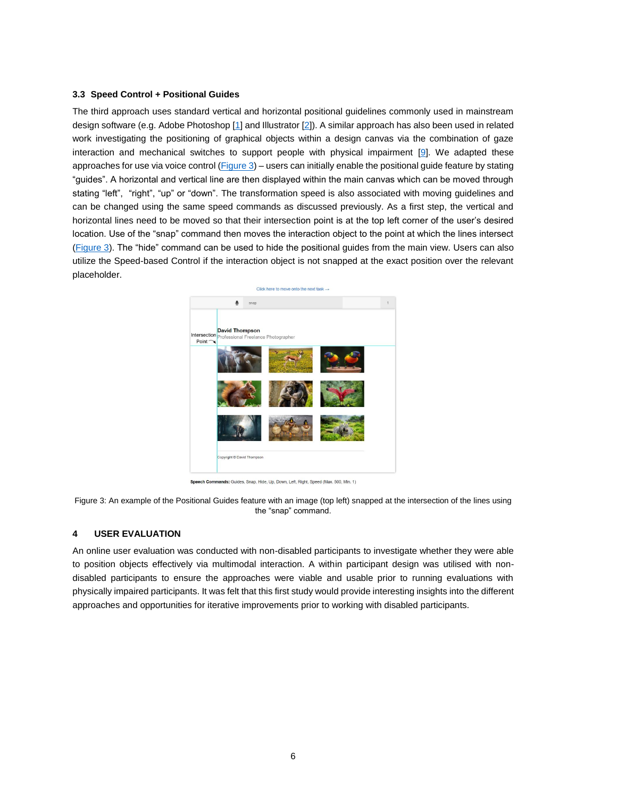### **3.3 Speed Control + Positional Guides**

The third approach uses standard vertical and horizontal positional guidelines commonly used in mainstream design software (e.g. Adobe Photoshop [\[1\]](#page-12-2) and Illustrator [\[2\]](#page-12-3)). A similar approach has also been used in related work investigating the positioning of graphical objects within a design canvas via the combination of gaze interaction and mechanical switches to support people with physical impairment [\[9\].](#page-12-8) We adapted these approaches for use via voice control  $(Figure 3)$  – users can initially enable the positional guide feature by stating "guides". A horizontal and vertical line are then displayed within the main canvas which can be moved through stating "left", "right", "up" or "down". The transformation speed is also associated with moving guidelines and can be changed using the same speed commands as discussed previously. As a first step, the vertical and horizontal lines need to be moved so that their intersection point is at the top left corner of the user's desired location. Use of the "snap" command then moves the interaction object to the point at which the lines intersect [\(Figure 3\)](#page-5-0). The "hide" command can be used to hide the positional guides from the main view. Users can also utilize the Speed-based Control if the interaction object is not snapped at the exact position over the relevant placeholder.



Speech Commands: Guides, Snap, Hide, Up, Down, Left, Right, Speed (Max. 500, Min. 1)

<span id="page-5-0"></span>Figure 3: An example of the Positional Guides feature with an image (top left) snapped at the intersection of the lines using the "snap" command.

#### **4 USER EVALUATION**

An online user evaluation was conducted with non-disabled participants to investigate whether they were able to position objects effectively via multimodal interaction. A within participant design was utilised with nondisabled participants to ensure the approaches were viable and usable prior to running evaluations with physically impaired participants. It was felt that this first study would provide interesting insights into the different approaches and opportunities for iterative improvements prior to working with disabled participants.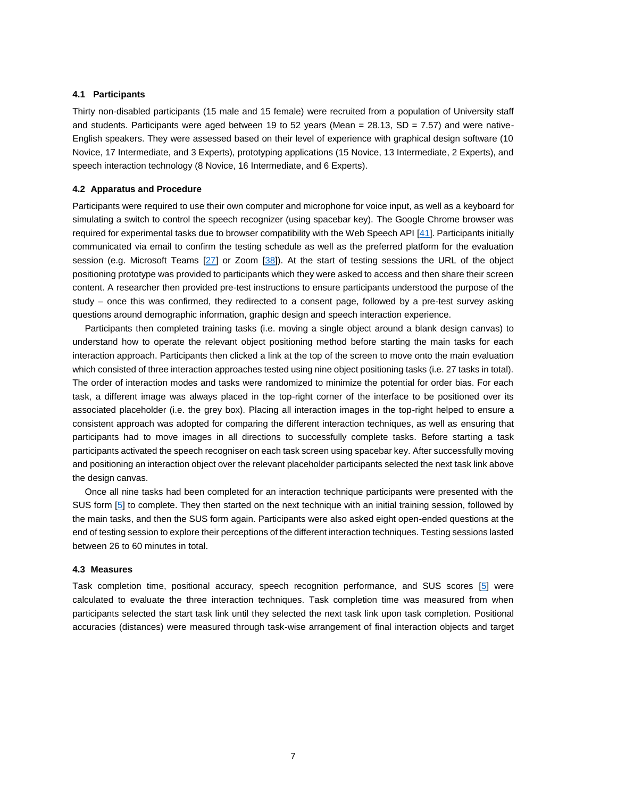### **4.1 Participants**

Thirty non-disabled participants (15 male and 15 female) were recruited from a population of University staff and students. Participants were aged between 19 to 52 years (Mean =  $28.13$ , SD =  $7.57$ ) and were native-English speakers. They were assessed based on their level of experience with graphical design software (10 Novice, 17 Intermediate, and 3 Experts), prototyping applications (15 Novice, 13 Intermediate, 2 Experts), and speech interaction technology (8 Novice, 16 Intermediate, and 6 Experts).

### **4.2 Apparatus and Procedure**

Participants were required to use their own computer and microphone for voice input, as well as a keyboard for simulating a switch to control the speech recognizer (using spacebar key). The Google Chrome browser was required for experimental tasks due to browser compatibility with the Web Speech API [\[41\]](#page-13-10). Participants initially communicated via email to confirm the testing schedule as well as the preferred platform for the evaluation session (e.g. Microsoft Teams [\[27\]](#page-13-16) or Zoom [\[38\]](#page-13-17)). At the start of testing sessions the URL of the object positioning prototype was provided to participants which they were asked to access and then share their screen content. A researcher then provided pre-test instructions to ensure participants understood the purpose of the study – once this was confirmed, they redirected to a consent page, followed by a pre-test survey asking questions around demographic information, graphic design and speech interaction experience.

Participants then completed training tasks (i.e. moving a single object around a blank design canvas) to understand how to operate the relevant object positioning method before starting the main tasks for each interaction approach. Participants then clicked a link at the top of the screen to move onto the main evaluation which consisted of three interaction approaches tested using nine object positioning tasks (i.e. 27 tasks in total). The order of interaction modes and tasks were randomized to minimize the potential for order bias. For each task, a different image was always placed in the top-right corner of the interface to be positioned over its associated placeholder (i.e. the grey box). Placing all interaction images in the top-right helped to ensure a consistent approach was adopted for comparing the different interaction techniques, as well as ensuring that participants had to move images in all directions to successfully complete tasks. Before starting a task participants activated the speech recogniser on each task screen using spacebar key. After successfully moving and positioning an interaction object over the relevant placeholder participants selected the next task link above the design canvas.

Once all nine tasks had been completed for an interaction technique participants were presented with the SUS form [\[5\]](#page-12-13) to complete. They then started on the next technique with an initial training session, followed by the main tasks, and then the SUS form again. Participants were also asked eight open-ended questions at the end of testing session to explore their perceptions of the different interaction techniques. Testing sessions lasted between 26 to 60 minutes in total.

### **4.3 Measures**

Task completion time, positional accuracy, speech recognition performance, and SUS scores [\[5\]](#page-12-13) were calculated to evaluate the three interaction techniques. Task completion time was measured from when participants selected the start task link until they selected the next task link upon task completion. Positional accuracies (distances) were measured through task-wise arrangement of final interaction objects and target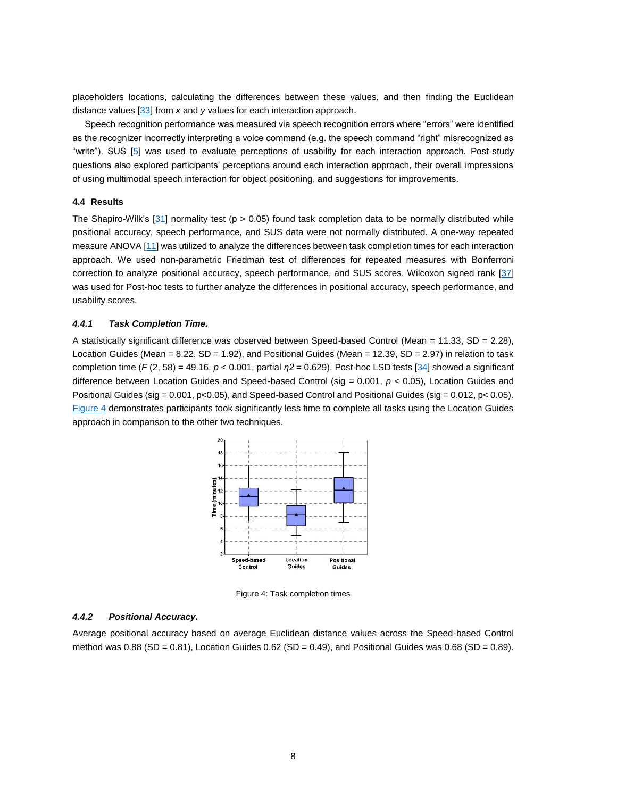placeholders locations, calculating the differences between these values, and then finding the Euclidean distance values [\[33\]](#page-13-18) from *x* and *y* values for each interaction approach.

Speech recognition performance was measured via speech recognition errors where "errors" were identified as the recognizer incorrectly interpreting a voice command (e.g. the speech command "right" misrecognized as "write"). SUS [\[5\]](#page-12-13) was used to evaluate perceptions of usability for each interaction approach. Post-study questions also explored participants' perceptions around each interaction approach, their overall impressions of using multimodal speech interaction for object positioning, and suggestions for improvements.

# **4.4 Results**

The Shapiro-Wilk's [\[31\]](#page-13-19) normality test ( $p > 0.05$ ) found task completion data to be normally distributed while positional accuracy, speech performance, and SUS data were not normally distributed. A one-way repeated measure ANOVA [\[11\]](#page-12-14) was utilized to analyze the differences between task completion times for each interaction approach. We used non-parametric Friedman test of differences for repeated measures with Bonferroni correction to analyze positional accuracy, speech performance, and SUS scores. Wilcoxon signed rank [\[37\]](#page-13-20) was used for Post-hoc tests to further analyze the differences in positional accuracy, speech performance, and usability scores.

#### *4.4.1 Task Completion Time.*

A statistically significant difference was observed between Speed-based Control (Mean = 11.33, SD = 2.28). Location Guides (Mean = 8.22, SD = 1.92), and Positional Guides (Mean = 12.39, SD = 2.97) in relation to task completion time (*F* (2, 58) = 49.16, *p* < 0.001, partial *η2* = 0.629). Post-hoc LSD tests [\[34\]](#page-13-21) showed a significant difference between Location Guides and Speed-based Control (sig = 0.001, *p* < 0.05), Location Guides and Positional Guides (sig = 0.001, p<0.05), and Speed-based Control and Positional Guides (sig = 0.012, p< 0.05). [Figure 4](#page-7-0) demonstrates participants took significantly less time to complete all tasks using the Location Guides approach in comparison to the other two techniques.



Figure 4: Task completion times

### <span id="page-7-0"></span>*4.4.2 Positional Accuracy.*

Average positional accuracy based on average Euclidean distance values across the Speed-based Control method was  $0.88$  (SD =  $0.81$ ), Location Guides  $0.62$  (SD =  $0.49$ ), and Positional Guides was  $0.68$  (SD =  $0.89$ ).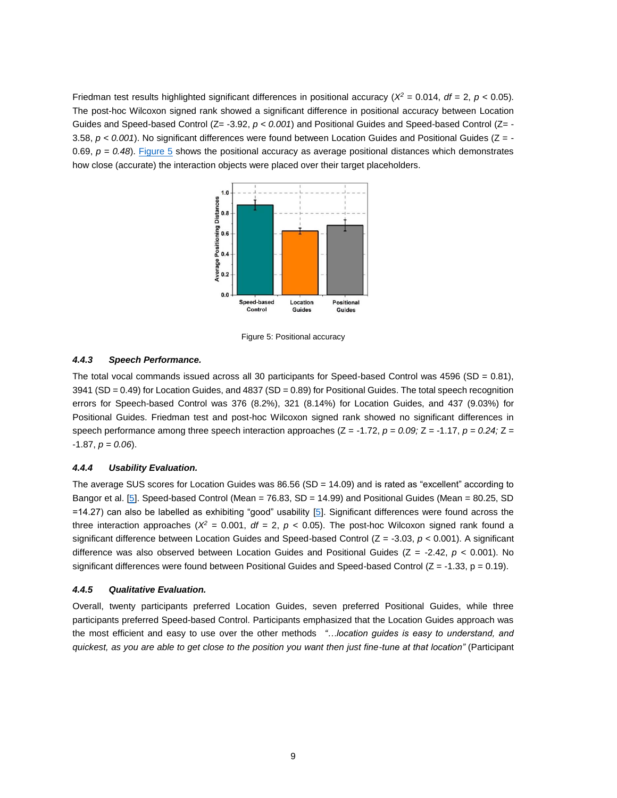Friedman test results highlighted significant differences in positional accuracy ( $X^2 = 0.014$ ,  $df = 2$ ,  $p < 0.05$ ). The post-hoc Wilcoxon signed rank showed a significant difference in positional accuracy between Location Guides and Speed-based Control (Z= -3.92, *p < 0.001*) and Positional Guides and Speed-based Control (Z= - 3.58, *p < 0.001*). No significant differences were found between Location Guides and Positional Guides (Z = - 0.69, *p = 0.48*). [Figure 5](#page-8-0) shows the positional accuracy as average positional distances which demonstrates how close (accurate) the interaction objects were placed over their target placeholders.



Figure 5: Positional accuracy

# <span id="page-8-0"></span>*4.4.3 Speech Performance.*

The total vocal commands issued across all 30 participants for Speed-based Control was  $4596$  (SD = 0.81), 3941 (SD = 0.49) for Location Guides, and 4837 (SD = 0.89) for Positional Guides. The total speech recognition errors for Speech-based Control was 376 (8.2%), 321 (8.14%) for Location Guides, and 437 (9.03%) for Positional Guides. Friedman test and post-hoc Wilcoxon signed rank showed no significant differences in speech performance among three speech interaction approaches  $(Z = -1.72, p = 0.09; Z = -1.17, p = 0.24; Z =$ -1.87, *p = 0.06*).

#### *4.4.4 Usability Evaluation.*

The average SUS scores for Location Guides was 86.56 (SD = 14.09) and is rated as "excellent" according to Bangor et al. [\[5\].](#page-12-13) Speed-based Control (Mean = 76.83, SD = 14.99) and Positional Guides (Mean = 80.25, SD =14.27) can also be labelled as exhibiting "good" usability [\[5\]](#page-12-13). Significant differences were found across the three interaction approaches ( $X^2 = 0.001$ ,  $df = 2$ ,  $p < 0.05$ ). The post-hoc Wilcoxon signed rank found a significant difference between Location Guides and Speed-based Control (Z = -3.03, *p* < 0.001). A significant difference was also observed between Location Guides and Positional Guides (Z = -2.42, *p* < 0.001). No significant differences were found between Positional Guides and Speed-based Control  $(Z = -1.33, p = 0.19)$ .

#### *4.4.5 Qualitative Evaluation.*

Overall, twenty participants preferred Location Guides, seven preferred Positional Guides, while three participants preferred Speed-based Control. Participants emphasized that the Location Guides approach was the most efficient and easy to use over the other methods *"…location guides is easy to understand, and quickest, as you are able to get close to the position you want then just fine-tune at that location"* (Participant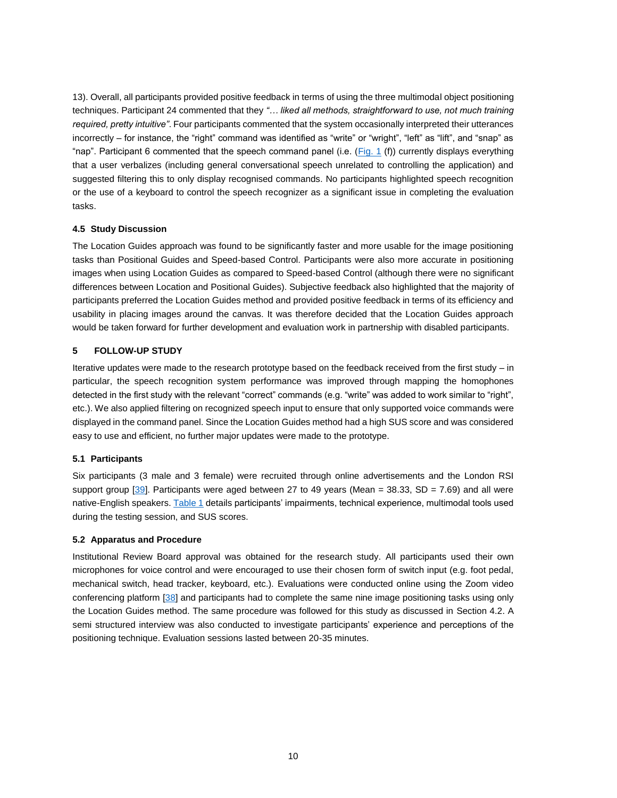13). Overall, all participants provided positive feedback in terms of using the three multimodal object positioning techniques. Participant 24 commented that they *"… liked all methods, straightforward to use, not much training required, pretty intuitive"*. Four participants commented that the system occasionally interpreted their utterances incorrectly – for instance, the "right" command was identified as "write" or "wright", "left" as "lift", and "snap" as "nap". Participant 6 commented that the speech command panel (i.e. [\(Fig. 1](#page-3-0) (f)) currently displays everything that a user verbalizes (including general conversational speech unrelated to controlling the application) and suggested filtering this to only display recognised commands. No participants highlighted speech recognition or the use of a keyboard to control the speech recognizer as a significant issue in completing the evaluation tasks.

# **4.5 Study Discussion**

The Location Guides approach was found to be significantly faster and more usable for the image positioning tasks than Positional Guides and Speed-based Control. Participants were also more accurate in positioning images when using Location Guides as compared to Speed-based Control (although there were no significant differences between Location and Positional Guides). Subjective feedback also highlighted that the majority of participants preferred the Location Guides method and provided positive feedback in terms of its efficiency and usability in placing images around the canvas. It was therefore decided that the Location Guides approach would be taken forward for further development and evaluation work in partnership with disabled participants.

# **5 FOLLOW-UP STUDY**

Iterative updates were made to the research prototype based on the feedback received from the first study – in particular, the speech recognition system performance was improved through mapping the homophones detected in the first study with the relevant "correct" commands (e.g. "write" was added to work similar to "right", etc.). We also applied filtering on recognized speech input to ensure that only supported voice commands were displayed in the command panel. Since the Location Guides method had a high SUS score and was considered easy to use and efficient, no further major updates were made to the prototype.

# **5.1 Participants**

Six participants (3 male and 3 female) were recruited through online advertisements and the London RSI support group [\[39\]](#page-13-22). Participants were aged between 27 to 49 years (Mean  $=$  38.33, SD  $=$  7.69) and all were native-English speakers. [Table 1](#page-10-0) details participants' impairments, technical experience, multimodal tools used during the testing session, and SUS scores.

# **5.2 Apparatus and Procedure**

Institutional Review Board approval was obtained for the research study. All participants used their own microphones for voice control and were encouraged to use their chosen form of switch input (e.g. foot pedal, mechanical switch, head tracker, keyboard, etc.). Evaluations were conducted online using the Zoom video conferencing platform [\[38\]](#page-13-17) and participants had to complete the same nine image positioning tasks using only the Location Guides method. The same procedure was followed for this study as discussed in Section 4.2. A semi structured interview was also conducted to investigate participants' experience and perceptions of the positioning technique. Evaluation sessions lasted between 20-35 minutes.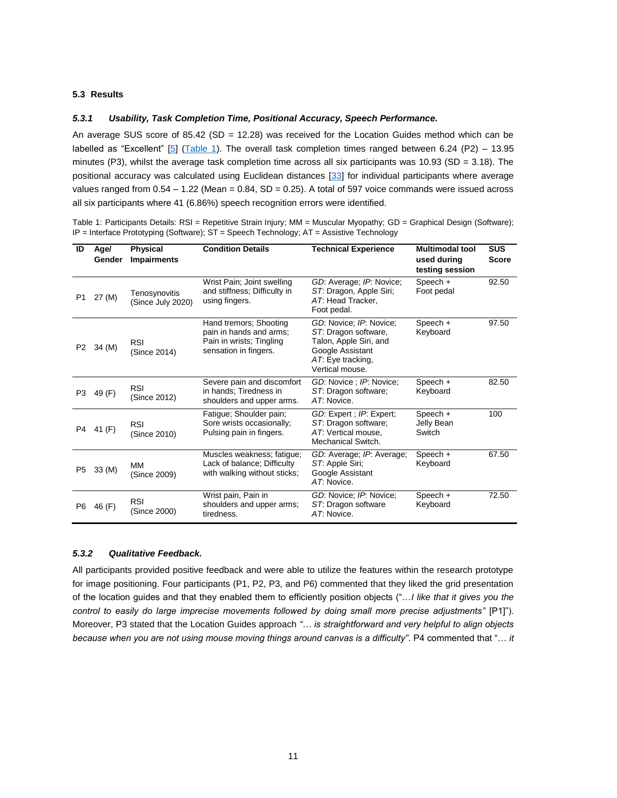# **5.3 Results**

#### *5.3.1 Usability, Task Completion Time, Positional Accuracy, Speech Performance.*

An average SUS score of 85.42 (SD = 12.28) was received for the Location Guides method which can be labelled as "Excellent" [\[5\]](#page-12-13) [\(Table 1\)](#page-10-0). The overall task completion times ranged between 6.24 (P2) – 13.95 minutes (P3), whilst the average task completion time across all six participants was 10.93 (SD = 3.18). The positional accuracy was calculated using Euclidean distances [\[33\]](#page-13-18) for individual participants where average values ranged from  $0.54 - 1.22$  (Mean =  $0.84$ , SD =  $0.25$ ). A total of 597 voice commands were issued across all six participants where 41 (6.86%) speech recognition errors were identified.

<span id="page-10-0"></span>Table 1: Participants Details: RSI = Repetitive Strain Injury; MM = Muscular Myopathy; GD = Graphical Design (Software); IP = Interface Prototyping (Software); ST = Speech Technology; AT = Assistive Technology

| ID             | Age/<br>Gender | <b>Physical</b><br><b>Impairments</b> | <b>Condition Details</b>                                                                               | <b>Technical Experience</b>                                                                                                           | <b>Multimodal tool</b><br>used during<br>testing session | <b>SUS</b><br><b>Score</b> |
|----------------|----------------|---------------------------------------|--------------------------------------------------------------------------------------------------------|---------------------------------------------------------------------------------------------------------------------------------------|----------------------------------------------------------|----------------------------|
| P1             | 27 (M)         | Tenosynovitis<br>(Since July 2020)    | Wrist Pain; Joint swelling<br>and stiffness; Difficulty in<br>using fingers.                           | GD: Average: IP: Novice:<br>ST. Dragon, Apple Siri;<br>AT: Head Tracker,<br>Foot pedal.                                               | Speech +<br>Foot pedal                                   | 92.50                      |
| P <sub>2</sub> | 34 (M)         | <b>RSI</b><br>(Since 2014)            | Hand tremors; Shooting<br>pain in hands and arms;<br>Pain in wrists; Tingling<br>sensation in fingers. | GD: Novice; IP: Novice;<br>ST: Dragon software,<br>Talon, Apple Siri, and<br>Google Assistant<br>AT: Eye tracking,<br>Vertical mouse. | Speech +<br>Keyboard                                     | 97.50                      |
| P3             | 49 (F)         | <b>RSI</b><br>(Since 2012)            | Severe pain and discomfort<br>in hands; Tiredness in<br>shoulders and upper arms.                      | GD: Novice ; IP: Novice;<br>ST: Dragon software;<br>AT: Novice.                                                                       | Speech +<br>Keyboard                                     | 82.50                      |
| P4             | 41 (F)         | <b>RSI</b><br>(Since 2010)            | Fatigue; Shoulder pain;<br>Sore wrists occasionally;<br>Pulsing pain in fingers.                       | GD: Expert; IP: Expert;<br>ST: Dragon software;<br>AT: Vertical mouse,<br>Mechanical Switch.                                          | Speech +<br>Jelly Bean<br>Switch                         | 100                        |
| P5             | 33 (M)         | <b>MM</b><br>(Since 2009)             | Muscles weakness; fatigue;<br>Lack of balance; Difficulty<br>with walking without sticks;              | GD: Average; IP: Average;<br>ST: Apple Siri;<br>Google Assistant<br>AT: Novice.                                                       | Speech +<br>Keyboard                                     | 67.50                      |
| P6             | 46 (F)         | <b>RSI</b><br>(Since 2000)            | Wrist pain, Pain in<br>shoulders and upper arms;<br>tiredness.                                         | GD: Novice; IP: Novice;<br>ST: Dragon software<br>AT. Novice.                                                                         | Speech +<br>Keyboard                                     | 72.50                      |

# *5.3.2 Qualitative Feedback.*

All participants provided positive feedback and were able to utilize the features within the research prototype for image positioning. Four participants (P1, P2, P3, and P6) commented that they liked the grid presentation of the location guides and that they enabled them to efficiently position objects ("…*I like that it gives you the control to easily do large imprecise movements followed by doing small more precise adjustments"* [P1]"). Moreover, P3 stated that the Location Guides approach *"… is straightforward and very helpful to align objects because when you are not using mouse moving things around canvas is a difficulty"*. P4 commented that "… *it*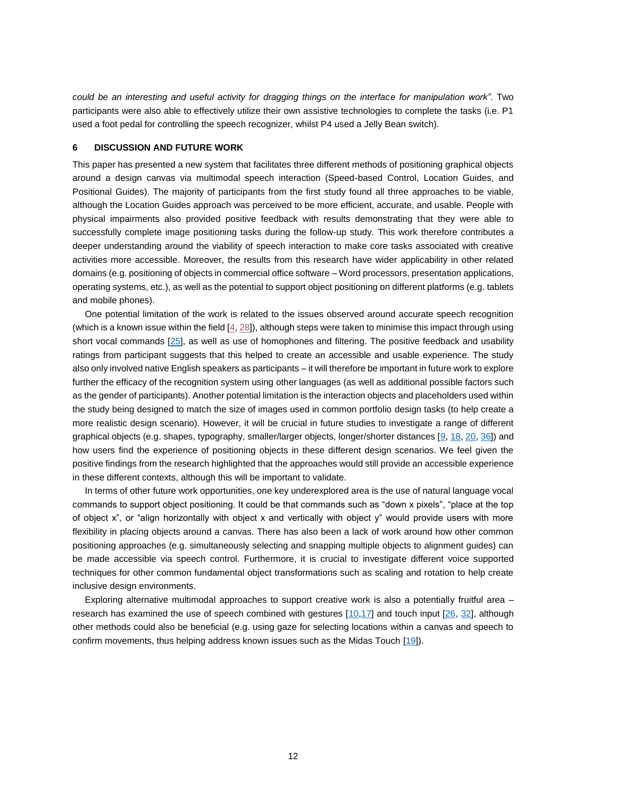*could be an interesting and useful activity for dragging things on the interface for manipulation work"*. Two participants were also able to effectively utilize their own assistive technologies to complete the tasks (i.e. P1 used a foot pedal for controlling the speech recognizer, whilst P4 used a Jelly Bean switch).

#### **6 DISCUSSION AND FUTURE WORK**

This paper has presented a new system that facilitates three different methods of positioning graphical objects around a design canvas via multimodal speech interaction (Speed-based Control, Location Guides, and Positional Guides). The majority of participants from the first study found all three approaches to be viable, although the Location Guides approach was perceived to be more efficient, accurate, and usable. People with physical impairments also provided positive feedback with results demonstrating that they were able to successfully complete image positioning tasks during the follow-up study. This work therefore contributes a deeper understanding around the viability of speech interaction to make core tasks associated with creative activities more accessible. Moreover, the results from this research have wider applicability in other related domains (e.g. positioning of objects in commercial office software – Word processors, presentation applications, operating systems, etc.), as well as the potential to support object positioning on different platforms (e.g. tablets and mobile phones).

One potential limitation of the work is related to the issues observed around accurate speech recognition (which is a known issue within the field [\[4,](#page-12-15) [28\]](#page-13-1)), although steps were taken to minimise this impact through using short vocal commands [\[25\]](#page-13-9), as well as use of homophones and filtering. The positive feedback and usability ratings from participant suggests that this helped to create an accessible and usable experience. The study also only involved native English speakers as participants – it will therefore be important in future work to explore further the efficacy of the recognition system using other languages (as well as additional possible factors such as the gender of participants). Another potential limitation is the interaction objects and placeholders used within the study being designed to match the size of images used in common portfolio design tasks (to help create a more realistic design scenario). However, it will be crucial in future studies to investigate a range of different graphical objects (e.g. shapes, typography, smaller/larger objects, longer/shorter distances [\[9,](#page-12-8) [18,](#page-12-16) [20,](#page-13-23) [36\]](#page-13-24)) and how users find the experience of positioning objects in these different design scenarios. We feel given the positive findings from the research highlighted that the approaches would still provide an accessible experience in these different contexts, although this will be important to validate.

In terms of other future work opportunities, one key underexplored area is the use of natural language vocal commands to support object positioning. It could be that commands such as "down x pixels", "place at the top of object x", or "align horizontally with object x and vertically with object y" would provide users with more flexibility in placing objects around a canvas. There has also been a lack of work around how other common positioning approaches (e.g. simultaneously selecting and snapping multiple objects to alignment guides) can be made accessible via speech control. Furthermore, it is crucial to investigate different voice supported techniques for other common fundamental object transformations such as scaling and rotation to help create inclusive design environments.

Exploring alternative multimodal approaches to support creative work is also a potentially fruitful area – research has examined the use of speech combined with gestures [\[10](#page-12-17)[,17\]](#page-12-7) and touch input [\[26,](#page-13-6) [32\]](#page-13-7), although other methods could also be beneficial (e.g. using gaze for selecting locations within a canvas and speech to confirm movements, thus helping address known issues such as the Midas Touch [\[19\]](#page-13-25)).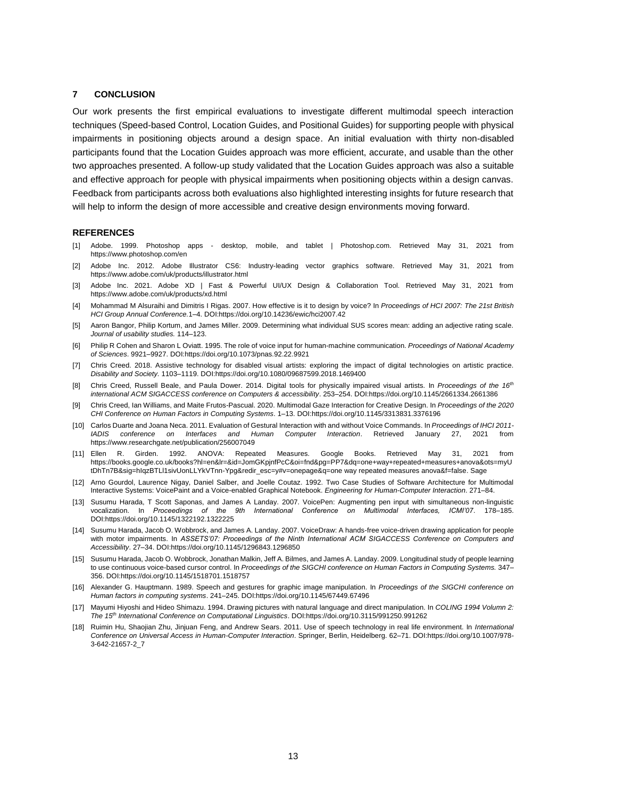# **7 CONCLUSION**

Our work presents the first empirical evaluations to investigate different multimodal speech interaction techniques (Speed-based Control, Location Guides, and Positional Guides) for supporting people with physical impairments in positioning objects around a design space. An initial evaluation with thirty non-disabled participants found that the Location Guides approach was more efficient, accurate, and usable than the other two approaches presented. A follow-up study validated that the Location Guides approach was also a suitable and effective approach for people with physical impairments when positioning objects within a design canvas. Feedback from participants across both evaluations also highlighted interesting insights for future research that will help to inform the design of more accessible and creative design environments moving forward.

#### **REFERENCES**

- <span id="page-12-2"></span>[1] Adobe. 1999. Photoshop apps - desktop, mobile, and tablet | Photoshop.com. Retrieved May 31, 2021 from https://www.photoshop.com/en
- <span id="page-12-3"></span>[2] Adobe Inc. 2012. Adobe Illustrator CS6: Industry-leading vector graphics software. Retrieved May 31, 2021 from https://www.adobe.com/uk/products/illustrator.html
- <span id="page-12-4"></span>[3] Adobe Inc. 2021. Adobe XD | Fast & Powerful UI/UX Design & Collaboration Tool. Retrieved May 31, 2021 from https://www.adobe.com/uk/products/xd.html
- <span id="page-12-15"></span>[4] Mohammad M Alsuraihi and Dimitris I Rigas. 2007. How effective is it to design by voice? In *Proceedings of HCI 2007: The 21st British HCI Group Annual Conference.*1–4. DOI:https://doi.org/10.14236/ewic/hci2007.42
- <span id="page-12-13"></span>[5] Aaron Bangor, Philip Kortum, and James Miller. 2009. Determining what individual SUS scores mean: adding an adjective rating scale. *Journal of usability studies.* 114–123.
- <span id="page-12-5"></span>[6] Philip R Cohen and Sharon L Oviatt. 1995. The role of voice input for human-machine communication. *Proceedings of National Academy of Sciences*. 9921–9927. DOI:https://doi.org/10.1073/pnas.92.22.9921
- <span id="page-12-0"></span>[7] Chris Creed. 2018. Assistive technology for disabled visual artists: exploring the impact of digital technologies on artistic practice. *Disability and Society.* 1103–1119. DOI:https://doi.org/10.1080/09687599.2018.1469400
- <span id="page-12-1"></span>[8] Chris Creed, Russell Beale, and Paula Dower. 2014. Digital tools for physically impaired visual artists. In *Proceedings of the 16th international ACM SIGACCESS conference on Computers & accessibility*. 253–254. DOI:https://doi.org/10.1145/2661334.2661386
- <span id="page-12-8"></span>[9] Chris Creed, Ian Williams, and Maite Frutos-Pascual. 2020. Multimodal Gaze Interaction for Creative Design. In *Proceedings of the 2020 CHI Conference on Human Factors in Computing Systems*. 1–13. DOI:https://doi.org/10.1145/3313831.3376196
- <span id="page-12-17"></span>[10] Carlos Duarte and Joana Neca. 2011. Evaluation of Gestural Interaction with and without Voice Commands. In *Proceedings of IHCI 2011- IADIS conference on Interfaces and Human Computer Interaction*. Retrieved January 27, 2021 from https://www.researchgate.net/publication/256007049
- <span id="page-12-14"></span>[11] Ellen R. Girden. 1992. ANOVA: Repeated Measures. Google Books. Retrieved May 31, 2021 from https://books.google.co.uk/books?hl=en&lr=&id=JomGKpjnfPcC&oi=fnd&pg=PP7&dq=one+way+repeated+measures+anova&ots=myU tDhTn7B&sig=hIqzBTLl1sivUonLLYkVTnn-Ypg&redir\_esc=y#v=onepage&q=one way repeated measures anova&f=false. Sage
- <span id="page-12-6"></span>[12] Arno Gourdol, Laurence Nigay, Daniel Salber, and Joelle Coutaz. 1992. Two Case Studies of Software Architecture for Multimodal Interactive Systems: VoicePaint and a Voice-enabled Graphical Notebook. *Engineering for Human-Computer Interaction*. 271–84.
- <span id="page-12-9"></span>[13] Susumu Harada, T Scott Saponas, and James A Landay. 2007. VoicePen: Augmenting pen input with simultaneous non-linguistic vocalization. In *Proceedings of the 9th International Conference on Multimodal Interfaces, ICMI'07*. 178–185. DOI:https://doi.org/10.1145/1322192.1322225
- <span id="page-12-10"></span>[14] Susumu Harada, Jacob O. Wobbrock, and James A. Landay. 2007. VoiceDraw: A hands-free voice-driven drawing application for people with motor impairments. In *ASSETS'07: Proceedings of the Ninth International ACM SIGACCESS Conference on Computers and Accessibility*. 27–34. DOI:https://doi.org/10.1145/1296843.1296850
- <span id="page-12-11"></span>[15] Susumu Harada, Jacob O. Wobbrock, Jonathan Malkin, Jeff A. Bilmes, and James A. Landay. 2009. Longitudinal study of people learning to use continuous voice-based cursor control. In *Proceedings of the SIGCHI conference on Human Factors in Computing Systems.* 347– 356. DOI:https://doi.org/10.1145/1518701.1518757
- <span id="page-12-12"></span>[16] Alexander G. Hauptmann. 1989. Speech and gestures for graphic image manipulation. In *Proceedings of the SIGCHI conference on Human factors in computing systems*. 241–245. DOI:https://doi.org/10.1145/67449.67496
- <span id="page-12-7"></span>[17] Mayumi Hiyoshi and Hideo Shimazu. 1994. Drawing pictures with natural language and direct manipulation. In *COLING 1994 Volumn 2: The 15th International Conference on Computational Linguistics*. DOI:https://doi.org/10.3115/991250.991262
- <span id="page-12-16"></span>[18] Ruimin Hu, Shaojian Zhu, Jinjuan Feng, and Andrew Sears. 2011. Use of speech technology in real life environment. In *International Conference on Universal Access in Human-Computer Interaction*. Springer, Berlin, Heidelberg. 62–71. DOI:https://doi.org/10.1007/978- 3-642-21657-2\_7